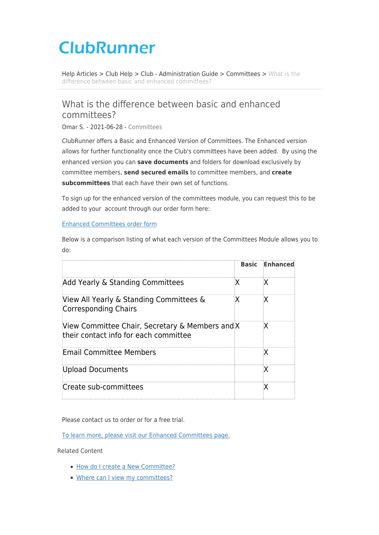## **ClubRunner**

[Help Articles](https://www.clubrunnersupport.com/kb) > [Club Help](https://www.clubrunnersupport.com/kb/club-help) > [Club - Administration Guide](https://www.clubrunnersupport.com/kb/club-administration-guide) > [Committees](https://www.clubrunnersupport.com/kb/committees-2) > [What is the](https://www.clubrunnersupport.com/kb/articles/what-is-the-difference-between-basic-and-enhanced-committees) [difference between basic and enhanced committees?](https://www.clubrunnersupport.com/kb/articles/what-is-the-difference-between-basic-and-enhanced-committees)

## What is the difference between basic and enhanced committees?

Omar S. - 2021-06-28 - [Committees](https://www.clubrunnersupport.com/kb/committees-2)

ClubRunner offers a Basic and Enhanced Version of Committees. The Enhanced version allows for further functionality once the Club's committees have been added. By using the enhanced version you can **save documents** and folders for download exclusively by committee members, **send secured emails** to committee members, and **create subcommittees** that each have their own set of functions.

To sign up for the enhanced version of the committees module, you can request this to be added to your account through our order form here:

## [Enhanced Committees order form](https://site.clubrunner.ca/form/enhanced-committees-module)

Below is a comparison listing of what each version of the Committees Module allows you to do:

|                                                                                          | <b>Basic</b> | Enhanced |
|------------------------------------------------------------------------------------------|--------------|----------|
| Add Yearly & Standing Committees                                                         | ïХ           | ₹Χ       |
| View All Yearly & Standing Committees &<br>Corresponding Chairs                          | κ            | ιΧ       |
| View Committee Chair, Secretary & Members and X<br>their contact info for each committee |              | ₹Χ       |
| Email Committee Members                                                                  |              | łХ.      |
| Upload Documents                                                                         |              | łХ       |
| Create sub-committees                                                                    |              | ÷Х       |

Please contact us to order or for a free trial.

[To learn more, please visit our Enhanced Committees page.](https://site.clubrunner.ca/Page/enhanced-committees)

Related Content

- [How do I create a New Committee?](https://www.clubrunnersupport.com/kb/articles/how-do-i-create-a-new-committee)
- [Where can I view my committees?](https://www.clubrunnersupport.com/kb/articles/where-can-i-view-my-committees)